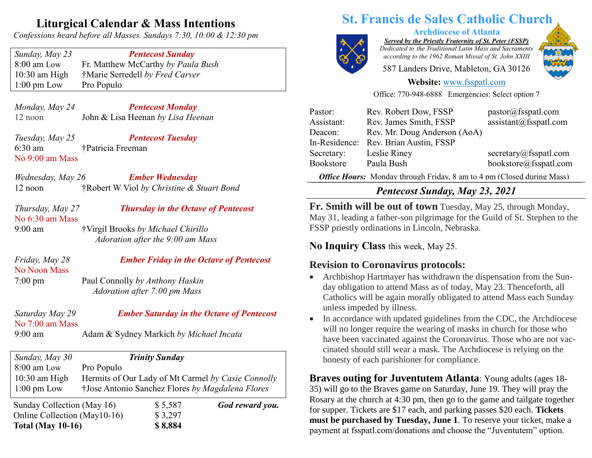# **Liturgical Calendar & Mass Intentions**

*Confessions heard before all Masses. Sundays 7:30, 10:00 & 12:30 pm*

*Sunday, May 23 Pentecost Sunday* 8:00 am Low Fr. Matthew McCarthy *by Paula Bush* 10:30 am High †Marie Serredell *by Fred Carver* 1:00 pm Low Pro Populo

*Monday, May 24 Pentecost Monday* 12 noon John & Lisa Heenan *by Lisa Heenan*

*Tuesday, May 25 Pentecost Tuesday* 6:30 am †Patricia Freeman No 9:00 am Mass

*Wednesday, May 26 Ember Wednesday* 12 noon †Robert W Viol *by Christine & Stuart Bond*

| Thursday, May 27  | <b>Thursday in the Octave of Pentecost</b> |
|-------------------|--------------------------------------------|
| No $6:30$ am Mass |                                            |
| $9:00$ am         | †Virgil Brooks by Michael Chirillo         |
|                   | Adoration after the 9:00 am Mass           |

No Noon Mass

#### *Friday, May 28 Ember Friday in the Octave of Pentecost*

7:00 pm Paul Connolly *by Anthony Haskin Adoration after 7:00 pm Mass*

| Saturday May 29   | <b>Ember Saturday in the Octave of Pentecost</b> |
|-------------------|--------------------------------------------------|
| No $7:00$ am Mass |                                                  |
| $9:00 \text{ am}$ | Adam & Sydney Markich by Michael Incata          |
|                   |                                                  |

| Sunday, May 30               |            | <b>Trinity Sunday</b> |                                                    |
|------------------------------|------------|-----------------------|----------------------------------------------------|
| 8:00 am Low                  | Pro Populo |                       |                                                    |
| $10:30$ am High              |            |                       | Hermits of Our Lady of Mt Carmel by Casie Connolly |
| $1:00 \text{ pm}$ Low        |            |                       | †Jose Antonio Sanchez Flores by Magdalena Flores   |
| Sunday Collection (May 16)   |            | \$5,587               | God reward you.                                    |
| Online Collection (May10-16) |            | \$3,297               |                                                    |
| <b>Total (May 10-16)</b>     |            | \$8,884               |                                                    |

# **St. Francis de Sales Catholic Church**



**Archdiocese of Atlanta**

*Served by the Priestly Fraternity of St. Peter (FSSP) Dedicated to the Traditional Latin Mass and Sacraments according to the 1962 Roman Missal of St. John XXIII*

587 Landers Drive, Mableton, GA 30126



#### **Website:** [www.fsspatl.com](http://www.fsspatl.com/)

Office: 770-948-6888 Emergencies: Select option 7

| Pastor:       | Rev. Robert Dow, FSSP        | pastor@fsspath.com                                                                                |
|---------------|------------------------------|---------------------------------------------------------------------------------------------------|
| Assistant:    | Rev. James Smith, FSSP       | assignment@fsspath.com                                                                            |
| Deacon:       | Rev. Mr. Doug Anderson (AoA) |                                                                                                   |
| In-Residence: | Rev. Brian Austin, FSSP      |                                                                                                   |
| Secretary:    | Leslie Riney                 | secretary@fsspath.com                                                                             |
| Bookstore     | Paula Bush                   | bookstore@fsspatl.com                                                                             |
|               |                              | $1 \text{ m}$ $1 \text{ m}$ $0 \text{ m}$ $1 \text{ m}$ $1 \text{ m}$ $1 \text{ m}$ $1 \text{ m}$ |

*Office Hours:* **Monday through Friday, 8 am to 4 pm (Closed during Mass)** 

# *Pentecost Sunday, May 23, 2021*

**Fr. Smith will be out of town** Tuesday, May 25, through Monday, May 31, leading a father-son pilgrimage for the Guild of St. Stephen to the FSSP priestly ordinations in Lincoln, Nebraska.

## **No Inquiry Class** this week, May 25.

# **Revision to Coronavirus protocols:**

- Archbishop Hartmayer has withdrawn the dispensation from the Sunday obligation to attend Mass as of today, May 23. Thenceforth, all Catholics will be again morally obligated to attend Mass each Sunday unless impeded by illness.
- In accordance with updated guidelines from the CDC, the Archdiocese will no longer require the wearing of masks in church for those who have been vaccinated against the Coronavirus. Those who are not vaccinated should still wear a mask. The Archdiocese is relying on the honesty of each parishioner for compliance.

**Braves outing for Juventutem Atlanta**: Young adults (ages 18- 35) will go to the Braves game on Saturday, June 19. They will pray the Rosary at the church at 4:30 pm, then go to the game and tailgate together for supper. Tickets are \$17 each, and parking passes \$20 each. **Tickets must be purchased by Tuesday, June 1**. To reserve your ticket, make a payment at fsspatl.com/donations and choose the "Juventutem" option.